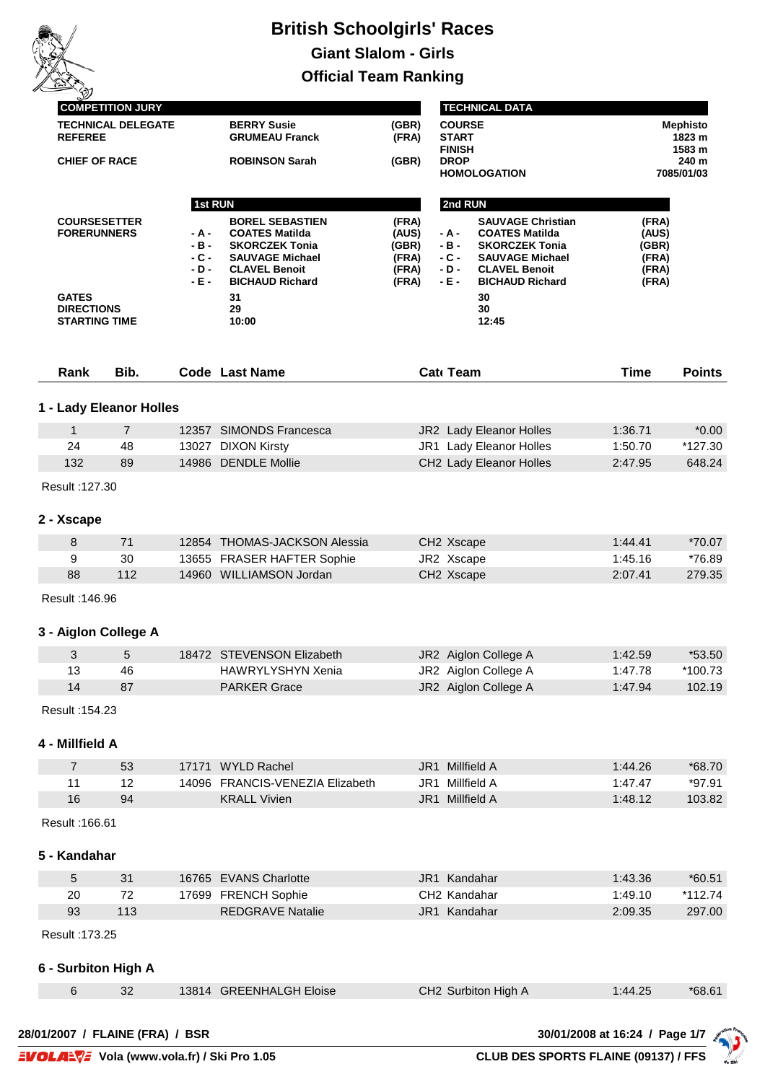

|                         |                                                                                                        |                         |                                                                                                                                                                                                                        | Official Team Ranking                       |                                                    |                |                                                |                                                                                                                                                                             |                                                    |                   |  |
|-------------------------|--------------------------------------------------------------------------------------------------------|-------------------------|------------------------------------------------------------------------------------------------------------------------------------------------------------------------------------------------------------------------|---------------------------------------------|----------------------------------------------------|----------------|------------------------------------------------|-----------------------------------------------------------------------------------------------------------------------------------------------------------------------------|----------------------------------------------------|-------------------|--|
| <b>COMPETITION JURY</b> |                                                                                                        |                         |                                                                                                                                                                                                                        |                                             |                                                    |                | <b>TECHNICAL DATA</b>                          |                                                                                                                                                                             |                                                    |                   |  |
|                         | <b>TECHNICAL DELEGATE</b><br><b>REFEREE</b>                                                            |                         |                                                                                                                                                                                                                        | <b>BERRY Susie</b><br><b>GRUMEAU Franck</b> |                                                    | (GBR)<br>(FRA) | <b>COURSE</b><br><b>START</b><br><b>FINISH</b> |                                                                                                                                                                             | <b>Mephisto</b><br>1823 m<br>1583 m                |                   |  |
|                         | <b>CHIEF OF RACE</b>                                                                                   |                         |                                                                                                                                                                                                                        | <b>ROBINSON Sarah</b>                       | (GBR)                                              |                | <b>DROP</b>                                    | <b>HOMOLOGATION</b>                                                                                                                                                         | 240 m<br>7085/01/03                                |                   |  |
|                         |                                                                                                        |                         | 1st RUN                                                                                                                                                                                                                |                                             |                                                    |                | 2nd RUN                                        |                                                                                                                                                                             |                                                    |                   |  |
|                         | <b>COURSESETTER</b><br><b>FORERUNNERS</b><br><b>GATES</b><br><b>DIRECTIONS</b><br><b>STARTING TIME</b> |                         | <b>BOREL SEBASTIEN</b><br><b>COATES Matilda</b><br>- A -<br>- B -<br><b>SKORCZEK Tonia</b><br>- C -<br><b>SAUVAGE Michael</b><br>- D -<br><b>CLAVEL Benoit</b><br>- E -<br><b>BICHAUD Richard</b><br>31<br>29<br>10:00 |                                             | (FRA)<br>(AUS)<br>(GBR)<br>(FRA)<br>(FRA)<br>(FRA) |                | - A -<br>- B -<br>- C -<br>- D -<br>- E -      | <b>SAUVAGE Christian</b><br><b>COATES Matilda</b><br><b>SKORCZEK Tonia</b><br><b>SAUVAGE Michael</b><br><b>CLAVEL Benoit</b><br><b>BICHAUD Richard</b><br>30<br>30<br>12:45 | (FRA)<br>(AUS)<br>(GBR)<br>(FRA)<br>(FRA)<br>(FRA) |                   |  |
|                         | Rank                                                                                                   | Bib.                    |                                                                                                                                                                                                                        | <b>Code Last Name</b>                       |                                                    |                | Cat Team                                       |                                                                                                                                                                             | Time                                               | <b>Points</b>     |  |
|                         |                                                                                                        | 1 - Lady Eleanor Holles |                                                                                                                                                                                                                        |                                             |                                                    |                |                                                |                                                                                                                                                                             |                                                    |                   |  |
|                         |                                                                                                        | $\overline{7}$          |                                                                                                                                                                                                                        | 12357 SIMONDS Francesca                     |                                                    |                |                                                | JR2 Lady Eleanor Holles                                                                                                                                                     | 1:36.71                                            | $*0.00$           |  |
|                         | 1<br>24                                                                                                | 48                      |                                                                                                                                                                                                                        | 13027 DIXON Kirsty                          |                                                    |                |                                                | JR1 Lady Eleanor Holles                                                                                                                                                     | 1:50.70                                            | *127.30           |  |
|                         | 132                                                                                                    | 89                      |                                                                                                                                                                                                                        | 14986 DENDLE Mollie                         |                                                    |                |                                                | CH2 Lady Eleanor Holles                                                                                                                                                     | 2:47.95                                            | 648.24            |  |
|                         | Result: 127.30<br>2 - Xscape                                                                           |                         |                                                                                                                                                                                                                        |                                             |                                                    |                |                                                |                                                                                                                                                                             |                                                    |                   |  |
|                         | 8                                                                                                      | 71                      |                                                                                                                                                                                                                        | 12854 THOMAS-JACKSON Alessia                |                                                    |                | CH2 Xscape                                     |                                                                                                                                                                             | 1:44.41                                            | *70.07            |  |
|                         | 9                                                                                                      | 30                      |                                                                                                                                                                                                                        | 13655 FRASER HAFTER Sophie                  |                                                    |                | JR2 Xscape                                     |                                                                                                                                                                             | 1:45.16                                            | *76.89            |  |
|                         | 88                                                                                                     | 112                     |                                                                                                                                                                                                                        | 14960 WILLIAMSON Jordan                     |                                                    |                | CH2 Xscape                                     |                                                                                                                                                                             | 2:07.41                                            | 279.35            |  |
|                         | Result: 146.96                                                                                         |                         |                                                                                                                                                                                                                        |                                             |                                                    |                |                                                |                                                                                                                                                                             |                                                    |                   |  |
|                         |                                                                                                        | 3 - Aiglon College A    |                                                                                                                                                                                                                        |                                             |                                                    |                |                                                |                                                                                                                                                                             |                                                    |                   |  |
|                         | 3                                                                                                      | 5                       |                                                                                                                                                                                                                        | 18472 STEVENSON Elizabeth                   |                                                    |                |                                                | JR2 Aiglon College A                                                                                                                                                        | 1:42.59                                            | *53.50            |  |
|                         | 13<br>14                                                                                               | 46<br>87                |                                                                                                                                                                                                                        | HAWRYLYSHYN Xenia<br><b>PARKER Grace</b>    |                                                    |                |                                                | JR2 Aiglon College A<br>JR2 Aiglon College A                                                                                                                                | 1:47.78<br>1:47.94                                 | *100.73<br>102.19 |  |
|                         | Result: 154.23                                                                                         |                         |                                                                                                                                                                                                                        |                                             |                                                    |                |                                                |                                                                                                                                                                             |                                                    |                   |  |
|                         | 4 - Millfield A                                                                                        |                         |                                                                                                                                                                                                                        |                                             |                                                    |                |                                                |                                                                                                                                                                             |                                                    |                   |  |
|                         | $\overline{7}$                                                                                         | 53                      |                                                                                                                                                                                                                        | 17171 WYLD Rachel                           |                                                    |                | JR1 Millfield A                                |                                                                                                                                                                             | 1:44.26                                            | *68.70            |  |
|                         | 11                                                                                                     | 12                      |                                                                                                                                                                                                                        | 14096 FRANCIS-VENEZIA Elizabeth             |                                                    |                | JR1 Millfield A                                |                                                                                                                                                                             | 1:47.47                                            | $*97.91$          |  |
|                         | 16                                                                                                     | 94                      |                                                                                                                                                                                                                        | <b>KRALL Vivien</b>                         |                                                    |                | JR1 Millfield A                                |                                                                                                                                                                             | 1:48.12                                            | 103.82            |  |
|                         | Result: 166.61<br>5 - Kandahar                                                                         |                         |                                                                                                                                                                                                                        |                                             |                                                    |                |                                                |                                                                                                                                                                             |                                                    |                   |  |
|                         | 5                                                                                                      | 31                      |                                                                                                                                                                                                                        | 16765 EVANS Charlotte                       |                                                    |                | JR1 Kandahar                                   |                                                                                                                                                                             | 1:43.36                                            | $*60.51$          |  |
|                         | 20                                                                                                     | 72                      |                                                                                                                                                                                                                        | 17699 FRENCH Sophie                         |                                                    |                | CH2 Kandahar                                   |                                                                                                                                                                             | 1:49.10                                            | *112.74           |  |
|                         | 93                                                                                                     | 113                     |                                                                                                                                                                                                                        | <b>REDGRAVE Natalie</b>                     |                                                    |                | JR1 Kandahar                                   |                                                                                                                                                                             | 2:09.35                                            | 297.00            |  |
|                         | Result: 173.25                                                                                         |                         |                                                                                                                                                                                                                        |                                             |                                                    |                |                                                |                                                                                                                                                                             |                                                    |                   |  |
|                         |                                                                                                        | 6 - Surbiton High A     |                                                                                                                                                                                                                        |                                             |                                                    |                |                                                |                                                                                                                                                                             |                                                    |                   |  |



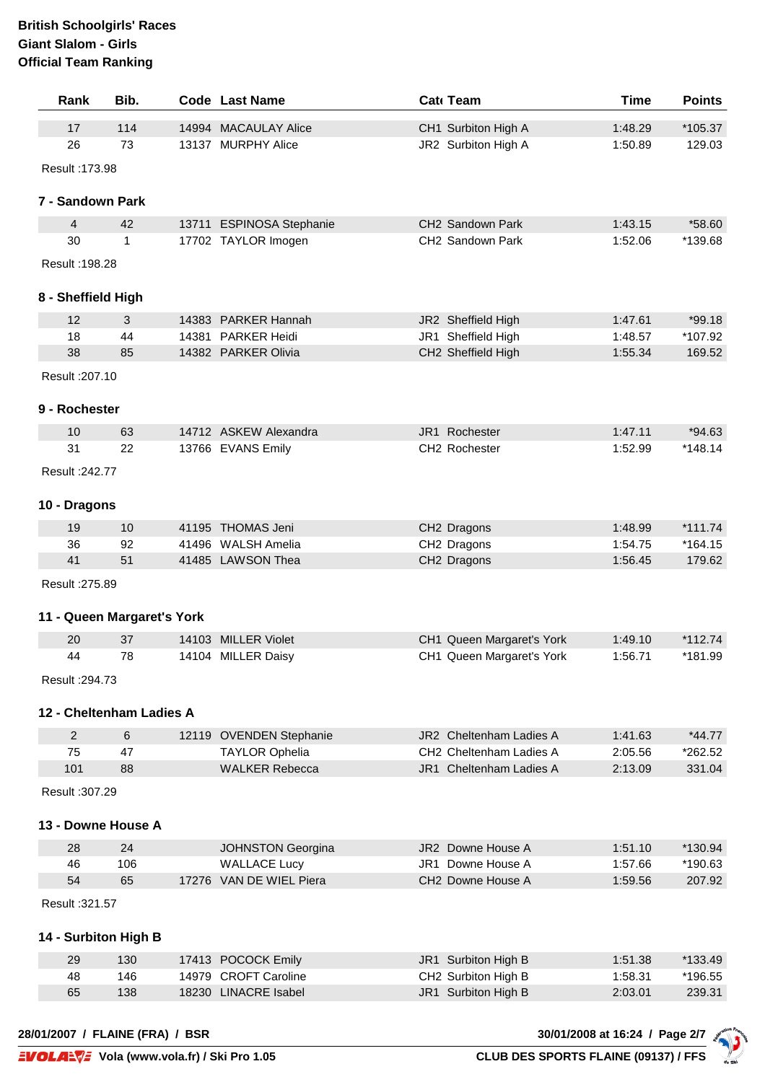| Rank               | Bib.                       | <b>Code Last Name</b>    | Cat Team                            | <b>Time</b> | <b>Points</b>                                                                                                             |
|--------------------|----------------------------|--------------------------|-------------------------------------|-------------|---------------------------------------------------------------------------------------------------------------------------|
| 17                 | 114                        | 14994 MACAULAY Alice     | CH1 Surbiton High A                 | 1:48.29     | *105.37                                                                                                                   |
| 26                 | 73                         | 13137 MURPHY Alice       | JR2 Surbiton High A                 | 1:50.89     | 129.03                                                                                                                    |
| Result: 173.98     |                            |                          |                                     |             |                                                                                                                           |
| 7 - Sandown Park   |                            |                          |                                     |             |                                                                                                                           |
| 4                  | 42                         | 13711 ESPINOSA Stephanie | CH <sub>2</sub> Sandown Park        | 1:43.15     | *58.60                                                                                                                    |
| 30                 | 1                          | 17702 TAYLOR Imogen      | CH <sub>2</sub> Sandown Park        | 1:52.06     | *139.68                                                                                                                   |
| Result: 198.28     |                            |                          |                                     |             |                                                                                                                           |
| 8 - Sheffield High |                            |                          |                                     |             |                                                                                                                           |
| 12                 | 3                          | 14383 PARKER Hannah      | JR2 Sheffield High                  | 1:47.61     | $*99.18$                                                                                                                  |
| 18                 | 44                         | 14381 PARKER Heidi       | JR1 Sheffield High                  | 1:48.57     | *107.92                                                                                                                   |
| 38                 | 85                         | 14382 PARKER Olivia      | CH2 Sheffield High                  | 1:55.34     | 169.52                                                                                                                    |
| Result: 207.10     |                            |                          |                                     |             |                                                                                                                           |
| 9 - Rochester      |                            |                          |                                     |             |                                                                                                                           |
| 10                 | 63                         | 14712 ASKEW Alexandra    | JR1 Rochester                       | 1:47.11     | $*94.63$                                                                                                                  |
| 31                 | 22                         | 13766 EVANS Emily        | CH2 Rochester                       | 1:52.99     | $*148.14$                                                                                                                 |
| Result: 242.77     |                            |                          |                                     |             |                                                                                                                           |
|                    |                            |                          |                                     |             |                                                                                                                           |
| 10 - Dragons       |                            |                          |                                     |             |                                                                                                                           |
| 19                 | 10                         | 41195 THOMAS Jeni        | CH2 Dragons                         | 1:48.99     | $*111.74$                                                                                                                 |
|                    |                            |                          |                                     | 1:54.75     |                                                                                                                           |
| 36                 | 92                         | 41496 WALSH Amelia       | CH2 Dragons                         |             |                                                                                                                           |
| 41                 | 51                         | 41485 LAWSON Thea        | CH2 Dragons                         | 1:56.45     |                                                                                                                           |
| Result: 275.89     | 11 - Queen Margaret's York |                          |                                     |             |                                                                                                                           |
| 20                 | 37                         | 14103 MILLER Violet      | CH1 Queen Margaret's York           | 1:49.10     |                                                                                                                           |
| 44                 | 78                         | 14104 MILLER Daisy       | CH1 Queen Margaret's York           | 1:56.71     |                                                                                                                           |
| Result: 294.73     |                            |                          |                                     |             |                                                                                                                           |
|                    | 12 - Cheltenham Ladies A   |                          |                                     |             |                                                                                                                           |
| $\overline{2}$     | 6                          | 12119 OVENDEN Stephanie  | JR2 Cheltenham Ladies A             | 1:41.63     |                                                                                                                           |
| 75                 | 47                         | <b>TAYLOR Ophelia</b>    | CH <sub>2</sub> Cheltenham Ladies A | 2:05.56     |                                                                                                                           |
| 101                | 88                         | <b>WALKER Rebecca</b>    | JR1 Cheltenham Ladies A             | 2:13.09     |                                                                                                                           |
| Result: 307.29     |                            |                          |                                     |             |                                                                                                                           |
|                    | 13 - Downe House A         |                          |                                     |             |                                                                                                                           |
| 28                 | 24                         | JOHNSTON Georgina        | JR2 Downe House A                   | 1:51.10     |                                                                                                                           |
| 46                 | 106                        | <b>WALLACE Lucy</b>      | JR1 Downe House A                   | 1:57.66     |                                                                                                                           |
| 54                 | 65                         | 17276 VAN DE WIEL Piera  | CH <sub>2</sub> Downe House A       | 1:59.56     |                                                                                                                           |
| Result : 321.57    |                            |                          |                                     |             |                                                                                                                           |
|                    | 14 - Surbiton High B       |                          |                                     |             |                                                                                                                           |
| 29                 | 130                        | 17413 POCOCK Emily       | JR1 Surbiton High B                 | 1:51.38     | $*164.15$<br>179.62<br>$*112.74$<br>*181.99<br>$*44.77$<br>*262.52<br>331.04<br>*130.94<br>*190.63<br>207.92<br>$*133.49$ |
| 48                 | 146                        | 14979 CROFT Caroline     | CH2 Surbiton High B                 | 1:58.31     | *196.55                                                                                                                   |

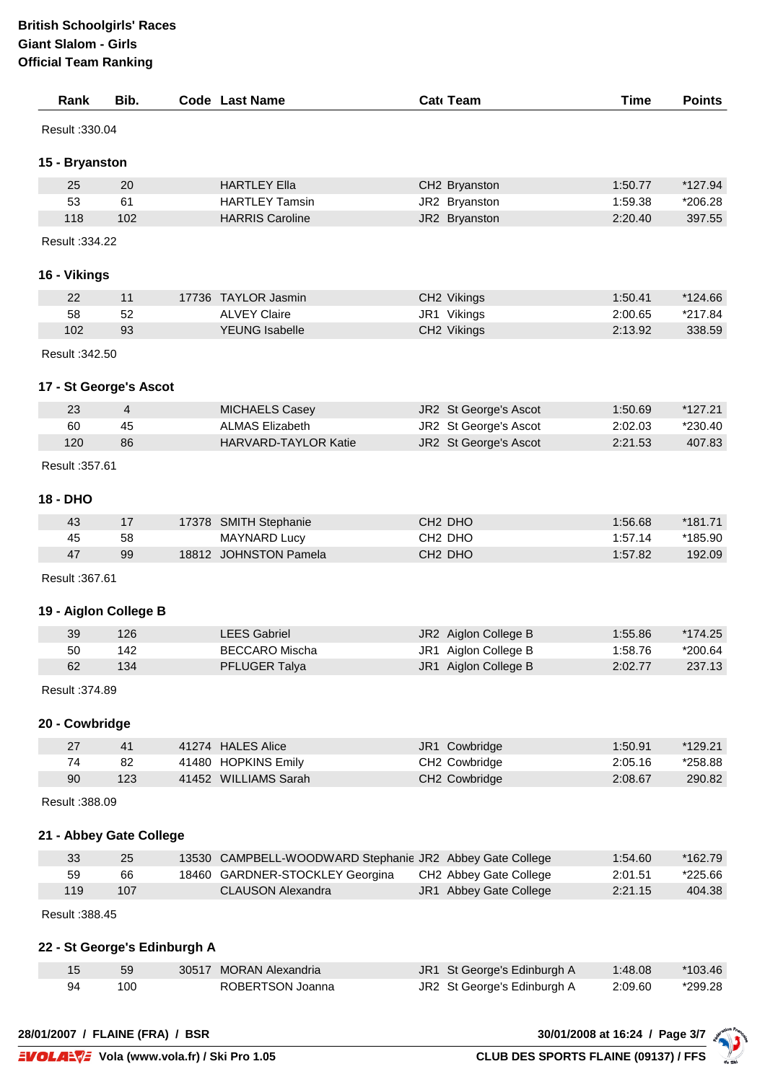| Rank                            | Bib.                  |                              | Code Last Name                                           |                     | Cat Team                    | <b>Time</b>                    | <b>Points</b> |
|---------------------------------|-----------------------|------------------------------|----------------------------------------------------------|---------------------|-----------------------------|--------------------------------|---------------|
| Result: 330.04                  |                       |                              |                                                          |                     |                             |                                |               |
| 15 - Bryanston                  |                       |                              |                                                          |                     |                             |                                |               |
| 25                              | 20                    |                              | <b>HARTLEY Ella</b>                                      |                     | CH2 Bryanston               | 1:50.77                        | *127.94       |
| 53                              | 61                    |                              | <b>HARTLEY Tamsin</b>                                    |                     | JR2 Bryanston               | 1:59.38                        | *206.28       |
| 118                             | 102                   |                              | <b>HARRIS Caroline</b>                                   |                     | JR2 Bryanston               | 2:20.40                        | 397.55        |
| Result: 334.22                  |                       |                              |                                                          |                     |                             |                                |               |
| 16 - Vikings                    |                       |                              |                                                          |                     |                             |                                |               |
| 22                              | 11                    |                              | 17736 TAYLOR Jasmin                                      |                     | CH2 Vikings                 | 1:50.41                        | *124.66       |
| 58                              | 52                    |                              | <b>ALVEY Claire</b>                                      |                     | JR1 Vikings                 | 2:00.65                        | *217.84       |
| 102                             | 93                    |                              | <b>YEUNG Isabelle</b>                                    |                     | CH2 Vikings                 | 2:13.92                        | 338.59        |
| Result: 342.50                  |                       |                              |                                                          |                     |                             |                                |               |
| 17 - St George's Ascot          |                       |                              |                                                          |                     |                             |                                |               |
| 23                              | $\overline{4}$        |                              | <b>MICHAELS Casey</b>                                    |                     | JR2 St George's Ascot       | 1:50.69                        | $*127.21$     |
| 60                              | 45                    |                              | <b>ALMAS Elizabeth</b>                                   |                     | JR2 St George's Ascot       | 2:02.03                        | *230.40       |
| 120                             | 86                    |                              | HARVARD-TAYLOR Katie                                     |                     | JR2 St George's Ascot       | 2:21.53                        | 407.83        |
| Result: 357.61                  |                       |                              |                                                          |                     |                             |                                |               |
| <b>18 - DHO</b>                 |                       |                              |                                                          |                     |                             |                                |               |
| 43                              | 17                    |                              | 17378 SMITH Stephanie                                    | CH <sub>2</sub> DHO |                             | 1:56.68                        | $*181.71$     |
| 45                              | 58                    |                              | <b>MAYNARD Lucy</b>                                      | CH <sub>2</sub> DHO |                             | 1:57.14                        | *185.90       |
| 47                              | 99                    |                              | 18812 JOHNSTON Pamela                                    |                     | CH <sub>2</sub> DHO         | 1:57.82                        | 192.09        |
|                                 | 19 - Aiglon College B |                              |                                                          |                     |                             |                                |               |
| 39                              | 126                   |                              | <b>LEES Gabriel</b>                                      |                     | JR2 Aiglon College B        | 1:55.86                        | $*174.25$     |
| 50                              | 142                   |                              | <b>BECCARO Mischa</b>                                    | JR1                 | Aiglon College B            | 1:58.76                        | *200.64       |
| 62                              | 134                   |                              | PFLUGER Talya                                            |                     | JR1 Aiglon College B        | 2:02.77                        | 237.13        |
| Result: 374.89                  |                       |                              |                                                          |                     |                             |                                |               |
| 20 - Cowbridge                  |                       |                              |                                                          |                     |                             |                                |               |
| 27                              | 41                    |                              | 41274 HALES Alice                                        |                     | JR1 Cowbridge               | 1:50.91                        | *129.21       |
| 74                              | 82                    |                              | 41480 HOPKINS Emily                                      |                     | CH2 Cowbridge               | 2:05.16                        | *258.88       |
| 90                              | 123                   |                              | 41452 WILLIAMS Sarah                                     |                     | CH2 Cowbridge               | 2:08.67                        | 290.82        |
| Result: 388.09                  |                       |                              |                                                          |                     |                             |                                |               |
| 21 - Abbey Gate College         |                       |                              |                                                          |                     |                             |                                |               |
| 33                              | 25                    |                              | 13530 CAMPBELL-WOODWARD Stephanie JR2 Abbey Gate College |                     |                             | 1:54.60                        | *162.79       |
| 59                              | 66                    |                              | 18460 GARDNER-STOCKLEY Georgina                          |                     | CH2 Abbey Gate College      | 2:01.51                        | *225.66       |
| 119                             | 107                   |                              | <b>CLAUSON Alexandra</b>                                 |                     | JR1 Abbey Gate College      | 2:21.15                        | 404.38        |
| Result: 388.45                  |                       |                              |                                                          |                     |                             |                                |               |
|                                 |                       | 22 - St George's Edinburgh A |                                                          |                     |                             |                                |               |
| 15                              | 59                    |                              | 30517 MORAN Alexandria                                   |                     | JR1 St George's Edinburgh A | 1:48.08                        | *103.46       |
| 94                              | 100                   |                              | ROBERTSON Joanna                                         |                     | JR2 St George's Edinburgh A | 2:09.60                        | *299.28       |
|                                 |                       |                              |                                                          |                     |                             |                                |               |
| 28/01/2007 / FLAINE (FRA) / BSR |                       |                              |                                                          |                     |                             | 30/01/2008 at 16:24 / Page 3/7 |               |

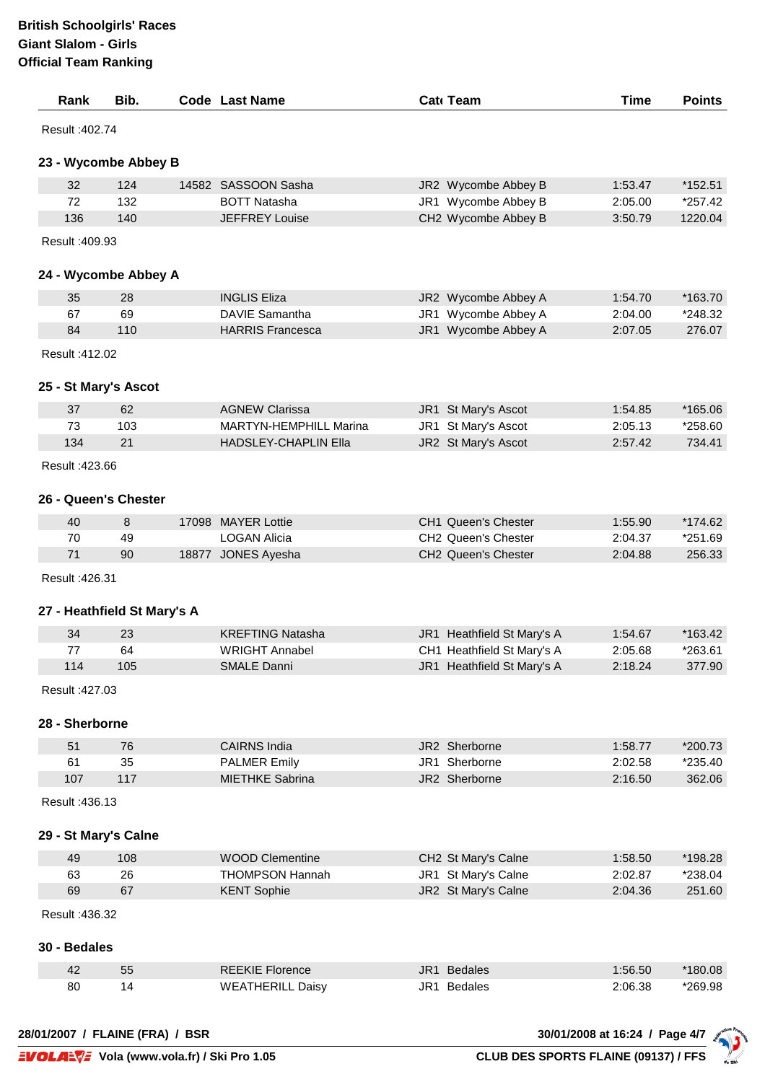| Rank           | Bib.                        | <b>Code Last Name</b>         | Cat Team                        | Time    | <b>Points</b> |
|----------------|-----------------------------|-------------------------------|---------------------------------|---------|---------------|
| Result: 402.74 |                             |                               |                                 |         |               |
|                | 23 - Wycombe Abbey B        |                               |                                 |         |               |
| 32             | 124                         | 14582 SASSOON Sasha           | JR2 Wycombe Abbey B             | 1:53.47 | *152.51       |
| 72             | 132                         | <b>BOTT Natasha</b>           | JR1 Wycombe Abbey B             | 2:05.00 | *257.42       |
| 136            | 140                         | <b>JEFFREY Louise</b>         | CH2 Wycombe Abbey B             | 3:50.79 | 1220.04       |
| Result: 409.93 |                             |                               |                                 |         |               |
|                | 24 - Wycombe Abbey A        |                               |                                 |         |               |
| 35             | 28                          | <b>INGLIS Eliza</b>           | JR2 Wycombe Abbey A             | 1:54.70 | *163.70       |
| 67             | 69                          | <b>DAVIE Samantha</b>         | JR1 Wycombe Abbey A             | 2:04.00 | *248.32       |
| 84             | 110                         | <b>HARRIS Francesca</b>       | JR1 Wycombe Abbey A             | 2:07.05 | 276.07        |
| Result: 412.02 | 25 - St Mary's Ascot        |                               |                                 |         |               |
| 37             | 62                          | <b>AGNEW Clarissa</b>         | JR1 St Mary's Ascot             | 1:54.85 | *165.06       |
| 73             | 103                         | <b>MARTYN-HEMPHILL Marina</b> | JR1 St Mary's Ascot             | 2:05.13 | *258.60       |
| 134            | 21                          | <b>HADSLEY-CHAPLIN Ella</b>   | JR2 St Mary's Ascot             | 2:57.42 | 734.41        |
| Result: 423.66 |                             |                               |                                 |         |               |
|                | 26 - Queen's Chester        |                               |                                 |         |               |
| 40             | 8                           | 17098 MAYER Lottie            | CH1 Queen's Chester             | 1:55.90 | *174.62       |
| 70             | 49                          | <b>LOGAN Alicia</b>           | CH <sub>2</sub> Queen's Chester | 2:04.37 | *251.69       |
| 71             | 90                          | 18877 JONES Ayesha            | CH2 Queen's Chester             | 2:04.88 | 256.33        |
| Result: 426.31 |                             |                               |                                 |         |               |
|                | 27 - Heathfield St Mary's A |                               |                                 |         |               |
| 34             | 23                          | <b>KREFTING Natasha</b>       | JR1 Heathfield St Mary's A      | 1:54.67 | *163.42       |
| 77             | 64                          | <b>WRIGHT Annabel</b>         | CH1 Heathfield St Mary's A      | 2:05.68 | $*263.61$     |
| 114            | 105                         | <b>SMALE Danni</b>            | JR1 Heathfield St Mary's A      | 2:18.24 | 377.90        |
| Result: 427.03 |                             |                               |                                 |         |               |
| 28 - Sherborne |                             |                               |                                 |         |               |
| 51             | 76                          | <b>CAIRNS India</b>           | JR2 Sherborne                   | 1:58.77 | *200.73       |
| 61             | 35                          | <b>PALMER Emily</b>           | JR1 Sherborne                   | 2:02.58 | *235.40       |
| 107            | 117                         | <b>MIETHKE Sabrina</b>        | JR2 Sherborne                   | 2:16.50 | 362.06        |
| Result: 436.13 |                             |                               |                                 |         |               |
|                | 29 - St Mary's Calne        |                               |                                 |         |               |
| 49             | 108                         | <b>WOOD Clementine</b>        | CH2 St Mary's Calne             | 1:58.50 | *198.28       |
| 63             | 26                          | <b>THOMPSON Hannah</b>        | JR1 St Mary's Calne             | 2:02.87 | *238.04       |
| 69             | 67                          | <b>KENT Sophie</b>            | JR2 St Mary's Calne             | 2:04.36 | 251.60        |
| Result: 436.32 |                             |                               |                                 |         |               |
| 30 - Bedales   |                             |                               |                                 |         |               |
| 42             | 55                          | <b>REEKIE Florence</b>        | JR1 Bedales                     | 1:56.50 | *180.08       |
| 80             | 14                          | <b>WEATHERILL Daisy</b>       | JR1 Bedales                     | 2:06.38 | *269.98       |

## **28/01/2007 / FLAINE (FRA) / BSR 30/01/2008 at 16:24 / Page 4/7**

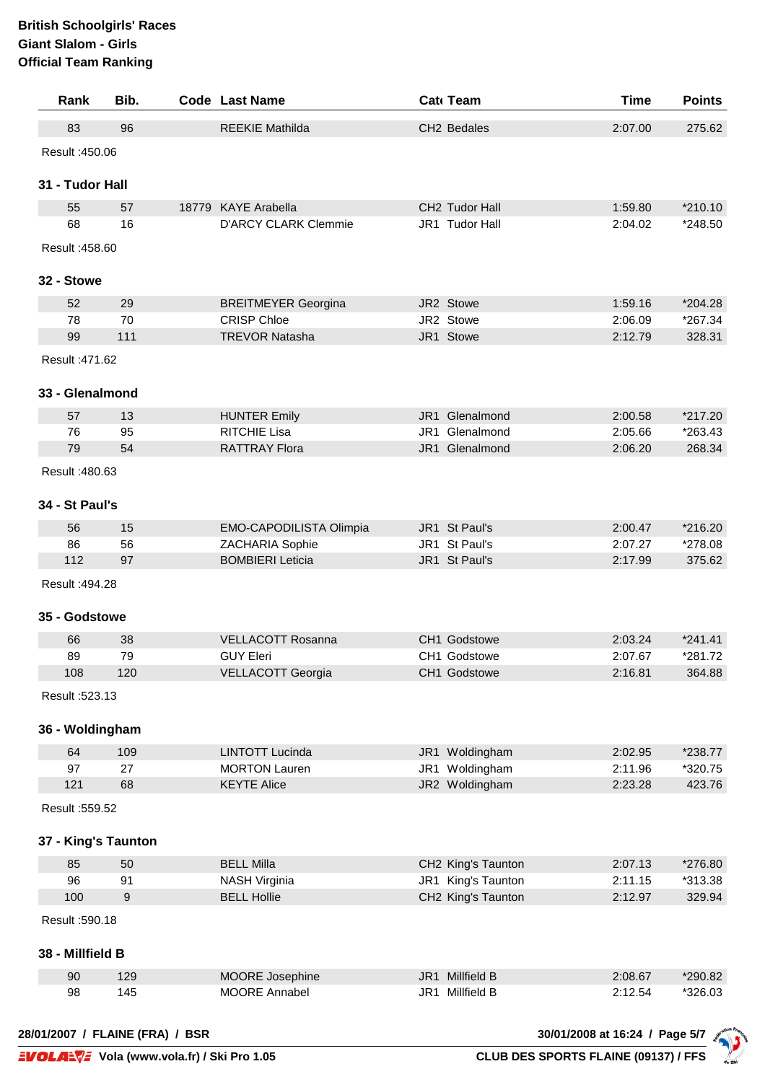|            | Rank                             | Bib. | Code Last Name              |                 | Cat Team           | <b>Time</b> | <b>Points</b>        |
|------------|----------------------------------|------|-----------------------------|-----------------|--------------------|-------------|----------------------|
|            | 83                               | 96   | <b>REEKIE Mathilda</b>      |                 | CH2 Bedales        | 2:07.00     | 275.62               |
|            | Result: 450.06                   |      |                             |                 |                    |             |                      |
|            | 31 - Tudor Hall                  |      |                             |                 |                    |             |                      |
|            | 55                               | 57   | 18779 KAYE Arabella         |                 | CH2 Tudor Hall     | 1:59.80     | *210.10              |
|            | 68                               | 16   | <b>D'ARCY CLARK Clemmie</b> |                 | JR1 Tudor Hall     | 2:04.02     | *248.50              |
|            | Result: 458.60                   |      |                             |                 |                    |             |                      |
| 32 - Stowe |                                  |      |                             |                 |                    |             |                      |
|            | 52                               | 29   | <b>BREITMEYER Georgina</b>  |                 | JR2 Stowe          | 1:59.16     | *204.28              |
|            | 78                               | 70   | <b>CRISP Chloe</b>          |                 | JR2 Stowe          | 2:06.09     | *267.34              |
|            | 99                               | 111  | <b>TREVOR Natasha</b>       |                 | JR1 Stowe          | 2:12.79     | 328.31               |
|            | Result: 471.62                   |      |                             |                 |                    |             |                      |
|            | 33 - Glenalmond                  |      |                             |                 |                    |             |                      |
|            | 57                               | 13   | <b>HUNTER Emily</b>         |                 | JR1 Glenalmond     | 2:00.58     | *217.20              |
|            | 76                               | 95   | <b>RITCHIE Lisa</b>         |                 | JR1 Glenalmond     | 2:05.66     | *263.43              |
|            | 79                               | 54   | <b>RATTRAY Flora</b>        |                 | JR1 Glenalmond     | 2:06.20     | 268.34               |
|            | Result: 480.63<br>34 - St Paul's |      |                             |                 |                    |             |                      |
|            |                                  |      |                             |                 |                    |             |                      |
|            | 56                               | 15   | EMO-CAPODILISTA Olimpia     |                 | JR1 St Paul's      | 2:00.47     | *216.20              |
|            | 86                               | 56   | ZACHARIA Sophie             |                 | JR1 St Paul's      | 2:07.27     | *278.08              |
|            | 112<br>Result: 494.28            | 97   | <b>BOMBIERI Leticia</b>     |                 | JR1 St Paul's      | 2:17.99     | 375.62               |
|            | 35 - Godstowe                    |      |                             |                 |                    |             |                      |
|            |                                  | 38   | <b>VELLACOTT Rosanna</b>    |                 | CH1 Godstowe       | 2:03.24     |                      |
|            | 66<br>89                         | 79   | <b>GUY Eleri</b>            |                 | CH1 Godstowe       | 2:07.67     | $*241.41$<br>*281.72 |
|            | 108                              | 120  | <b>VELLACOTT Georgia</b>    |                 | CH1 Godstowe       | 2:16.81     | 364.88               |
|            | Result: 523.13                   |      |                             |                 |                    |             |                      |
|            | 36 - Woldingham                  |      |                             |                 |                    |             |                      |
|            | 64                               | 109  | <b>LINTOTT Lucinda</b>      |                 | JR1 Woldingham     | 2:02.95     | *238.77              |
|            | 97                               | 27   | <b>MORTON Lauren</b>        |                 | JR1 Woldingham     | 2:11.96     | *320.75              |
|            | 121                              | 68   | <b>KEYTE Alice</b>          |                 | JR2 Woldingham     | 2:23.28     | 423.76               |
|            | Result: 559.52                   |      |                             |                 |                    |             |                      |
|            | 37 - King's Taunton              |      |                             |                 |                    |             |                      |
|            | 85                               | 50   | <b>BELL Milla</b>           |                 | CH2 King's Taunton | 2:07.13     | *276.80              |
|            | 96                               | 91   | <b>NASH Virginia</b>        |                 | JR1 King's Taunton | 2:11.15     | *313.38              |
|            | 100                              | 9    | <b>BELL Hollie</b>          |                 | CH2 King's Taunton | 2:12.97     | 329.94               |
|            | Result: 590.18                   |      |                             |                 |                    |             |                      |
|            | 38 - Millfield B                 |      |                             |                 |                    |             |                      |
|            | 90                               | 129  | MOORE Josephine             | JR <sub>1</sub> | Millfield B        | 2:08.67     | *290.82              |
|            | 98                               | 145  | MOORE Annabel               |                 | JR1 Millfield B    | 2:12.54     | *326.03              |

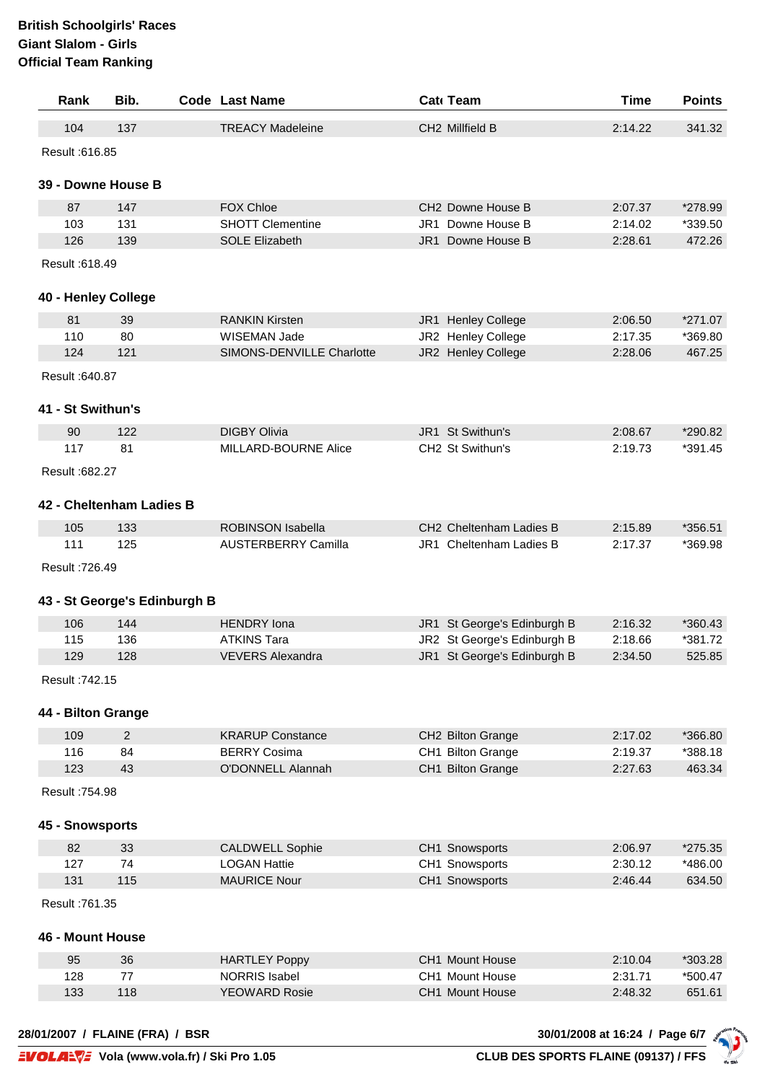| Rank                | Bib.                         | <b>Code Last Name</b>      | Cat Team                    | <b>Time</b> | <b>Points</b> |
|---------------------|------------------------------|----------------------------|-----------------------------|-------------|---------------|
| 104                 | 137                          | <b>TREACY Madeleine</b>    | CH2 Millfield B             | 2:14.22     | 341.32        |
| Result: 616.85      |                              |                            |                             |             |               |
| 39 - Downe House B  |                              |                            |                             |             |               |
| 87                  | 147                          | <b>FOX Chloe</b>           | CH2 Downe House B           | 2:07.37     | *278.99       |
| 103                 | 131                          | <b>SHOTT Clementine</b>    | JR1 Downe House B           | 2:14.02     | *339.50       |
| 126                 | 139                          | <b>SOLE Elizabeth</b>      | JR1 Downe House B           | 2:28.61     | 472.26        |
| Result: 618.49      |                              |                            |                             |             |               |
| 40 - Henley College |                              |                            |                             |             |               |
| 81                  | 39                           | <b>RANKIN Kirsten</b>      | JR1 Henley College          | 2:06.50     | $*271.07$     |
| 110                 | 80                           | <b>WISEMAN Jade</b>        | JR2 Henley College          | 2:17.35     | *369.80       |
| 124                 | 121                          | SIMONS-DENVILLE Charlotte  | JR2 Henley College          | 2:28.06     | 467.25        |
| Result: 640.87      |                              |                            |                             |             |               |
| 41 - St Swithun's   |                              |                            |                             |             |               |
| 90                  | 122                          | <b>DIGBY Olivia</b>        | JR1 St Swithun's            | 2:08.67     | *290.82       |
| 117                 | 81                           | MILLARD-BOURNE Alice       | CH2 St Swithun's            | 2:19.73     | *391.45       |
| Result: 682.27      |                              |                            |                             |             |               |
|                     |                              |                            |                             |             |               |
|                     | 42 - Cheltenham Ladies B     |                            |                             |             |               |
| 105                 | 133                          | <b>ROBINSON Isabella</b>   | CH2 Cheltenham Ladies B     | 2:15.89     | *356.51       |
| 111                 | 125                          | <b>AUSTERBERRY Camilla</b> | JR1 Cheltenham Ladies B     | 2:17.37     | *369.98       |
| Result: 726.49      |                              |                            |                             |             |               |
|                     |                              |                            |                             |             |               |
|                     | 43 - St George's Edinburgh B |                            |                             |             |               |
| 106                 | 144                          | <b>HENDRY</b> Iona         | JR1 St George's Edinburgh B | 2:16.32     | *360.43       |
| 115                 | 136                          | <b>ATKINS Tara</b>         | JR2 St George's Edinburgh B | 2:18.66     | *381.72       |
| 129                 | 128                          | <b>VEVERS Alexandra</b>    | JR1 St George's Edinburgh B | 2:34.50     | 525.85        |
| Result: 742.15      |                              |                            |                             |             |               |
|                     |                              |                            |                             |             |               |
| 44 - Bilton Grange  |                              |                            |                             |             |               |
| 109                 | 2                            | <b>KRARUP Constance</b>    | CH2 Bilton Grange           | 2:17.02     | *366.80       |
| 116                 | 84                           | <b>BERRY Cosima</b>        | CH1 Bilton Grange           | 2:19.37     | *388.18       |
| 123                 | 43                           | O'DONNELL Alannah          | CH1 Bilton Grange           | 2:27.63     | 463.34        |
| Result: 754.98      |                              |                            |                             |             |               |
| 45 - Snowsports     |                              |                            |                             |             |               |
| 82                  | 33                           | <b>CALDWELL Sophie</b>     | CH1 Snowsports              | 2:06.97     | $*275.35$     |
| 127                 | 74                           | <b>LOGAN Hattie</b>        | CH1 Snowsports              | 2:30.12     | *486.00       |
| 131                 | 115                          | <b>MAURICE Nour</b>        | CH1 Snowsports              | 2:46.44     | 634.50        |
|                     |                              |                            |                             |             |               |
| Result: 761.35      |                              |                            |                             |             |               |
| 46 - Mount House    |                              |                            |                             |             |               |
| 95                  | 36                           | <b>HARTLEY Poppy</b>       | CH1 Mount House             | 2:10.04     | *303.28       |
| 128                 | 77                           | <b>NORRIS Isabel</b>       | CH1 Mount House             | 2:31.71     | *500.47       |
| 133                 | 118                          | <b>YEOWARD Rosie</b>       | CH1 Mount House             | 2:48.32     | 651.61        |
|                     |                              |                            |                             |             |               |

**28/01/2007 / FLAINE (FRA) / BSR 30/01/2008 at 16:24 / Page 6/7**